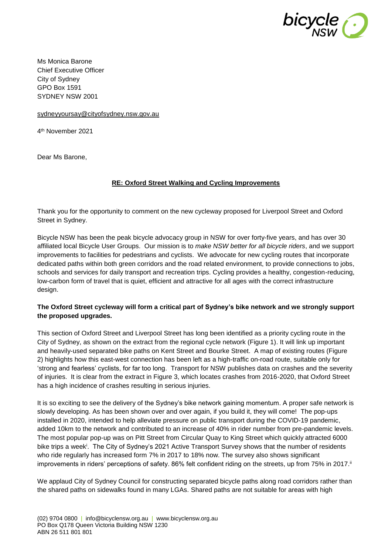

Ms Monica Barone Chief Executive Officer City of Sydney GPO Box 1591 SYDNEY NSW 2001

[sydneyyoursay@cityofsydney.nsw.gov.au](mailto:sydneyyoursay@cityofsydney.nsw.gov.au)

4 th November 2021

Dear Ms Barone,

#### **RE: Oxford Street Walking and Cycling Improvements**

Thank you for the opportunity to comment on the new cycleway proposed for Liverpool Street and Oxford Street in Sydney.

Bicycle NSW has been the peak bicycle advocacy group in NSW for over forty-five years, and has over 30 affiliated local Bicycle User Groups. Our mission is to *make NSW better for all bicycle riders*, and we support improvements to facilities for pedestrians and cyclists. We advocate for new cycling routes that incorporate dedicated paths within both green corridors and the road related environment, to provide connections to jobs, schools and services for daily transport and recreation trips. Cycling provides a healthy, congestion-reducing, low-carbon form of travel that is quiet, efficient and attractive for all ages with the correct infrastructure design.

### **The Oxford Street cycleway will form a critical part of Sydney's bike network and we strongly support the proposed upgrades.**

This section of Oxford Street and Liverpool Street has long been identified as a priority cycling route in the City of Sydney, as shown on the extract from the regional cycle network (Figure 1). It will link up important and heavily-used separated bike paths on Kent Street and Bourke Street. A map of existing routes (Figure 2) highlights how this east-west connection has been left as a high-traffic on-road route, suitable only for 'strong and fearless' cyclists, for far too long. Transport for NSW publishes data on crashes and the severity of injuries. It is clear from the extract in Figure 3, which locates crashes from 2016-2020, that Oxford Street has a high incidence of crashes resulting in serious injuries.

It is so exciting to see the delivery of the Sydney's bike network gaining momentum. A proper safe network is slowly developing. As has been shown over and over again, if you build it, they will come! The pop-ups installed in 2020, intended to help alleviate pressure on public transport during the COVID-19 pandemic, added 10km to the network and contributed to an increase of 40% in rider number from pre-pandemic levels. The most popular pop-up was on Pitt Street from Circular Quay to King Street which quickly attracted 6000 bike trips a week<sup>i</sup>. The City of Sydney's 2021 Active Transport Survey shows that the number of residents who ride regularly has increased form 7% in 2017 to 18% now. The survey also shows significant improvements in riders' perceptions of safety. 86% felt confident riding on the streets, up from 75% in 2017.<sup>ii</sup>

We applaud City of Sydney Council for constructing separated bicycle paths along road corridors rather than the shared paths on sidewalks found in many LGAs. Shared paths are not suitable for areas with high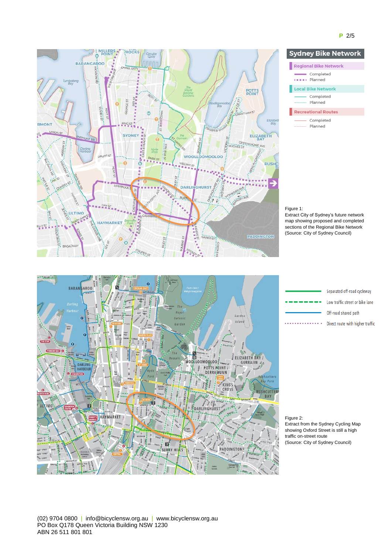

#### **Sydney Bike Network** Regional Bike Network Completed ..... Planned Local Bike Network - Completed ......... Planned Recreational Routes - Completed Planned

#### Figure 1:

Extract City of Sydney's future network map showing proposed and completed sections of the Regional Bike Network (Source: City of Sydney Council)



#### Separated off-road cycleway Low traffic street or bike lane ٠. Off-road shared path . . . . . . . . . . . . . . . Direct route with higher traffic

Figure 2: Extract from the Sydney Cycling Map showing Oxford Street is still a high traffic on-street route (Source: City of Sydney Council)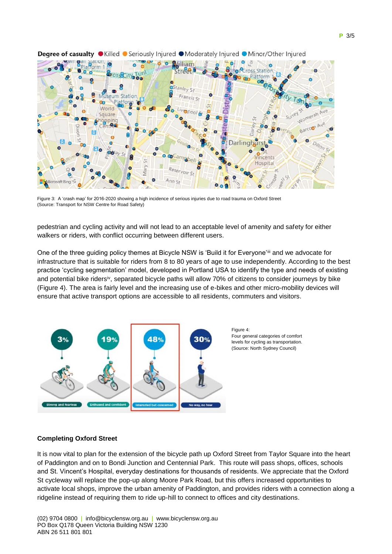

#### Degree of casualty  $\bullet$  Killed  $\bullet$  Seriously Injured  $\bullet$  Moderately Injured  $\bullet$  Minor/Other Injured

Figure 3: A 'crash map' for 2016-2020 showing a high incidence of serious injuries due to road trauma on Oxford Street (Source: Transport for NSW Centre for Road Safety)

pedestrian and cycling activity and will not lead to an acceptable level of amenity and safety for either walkers or riders, with conflict occurring between different users.

One of the three guiding policy themes at Bicycle NSW is 'Build it for Everyone'iii and we advocate for infrastructure that is suitable for riders from 8 to 80 years of age to use independently. According to the best practice 'cycling segmentation' model, developed in Portland USA to identify the type and needs of existing and potential bike ridersiv, separated bicycle paths will allow 70% of citizens to consider journeys by bike (Figure 4). The area is fairly level and the increasing use of e-bikes and other micro-mobility devices will ensure that active transport options are accessible to all residents, commuters and visitors.



#### Four general categories of comfort levels for cycling as transportation. (Source: North Sydney Council)

#### **Completing Oxford Street**

It is now vital to plan for the extension of the bicycle path up Oxford Street from Taylor Square into the heart of Paddington and on to Bondi Junction and Centennial Park. This route will pass shops, offices, schools and St. Vincent's Hospital, everyday destinations for thousands of residents. We appreciate that the Oxford St cycleway will replace the pop-up along Moore Park Road, but this offers increased opportunities to activate local shops, improve the urban amenity of Paddington, and provides riders with a connection along a ridgeline instead of requiring them to ride up-hill to connect to offices and city destinations.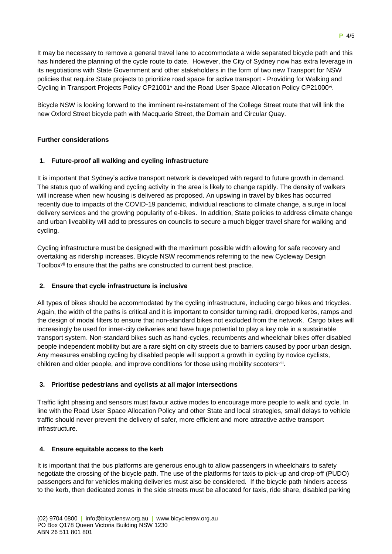It may be necessary to remove a general travel lane to accommodate a wide separated bicycle path and this has hindered the planning of the cycle route to date. However, the City of Sydney now has extra leverage in its negotiations with State Government and other stakeholders in the form of two new Transport for NSW policies that require State projects to prioritize road space for active transport - Providing for Walking and Cycling in Transport Projects Policy CP21001<sup>v</sup> and the Road User Space Allocation Policy CP21000<sup>vi</sup>.

Bicycle NSW is looking forward to the imminent re-instatement of the College Street route that will link the new Oxford Street bicycle path with Macquarie Street, the Domain and Circular Quay.

### **Further considerations**

### **1. Future-proof all walking and cycling infrastructure**

It is important that Sydney's active transport network is developed with regard to future growth in demand. The status quo of walking and cycling activity in the area is likely to change rapidly. The density of walkers will increase when new housing is delivered as proposed. An upswing in travel by bikes has occurred recently due to impacts of the COVID-19 pandemic, individual reactions to climate change, a surge in local delivery services and the growing popularity of e-bikes. In addition, State policies to address climate change and urban liveability will add to pressures on councils to secure a much bigger travel share for walking and cycling.

Cycling infrastructure must be designed with the maximum possible width allowing for safe recovery and overtaking as ridership increases. Bicycle NSW recommends referring to the new Cycleway Design Toolboxvii to ensure that the paths are constructed to current best practice.

#### **2. Ensure that cycle infrastructure is inclusive**

All types of bikes should be accommodated by the cycling infrastructure, including cargo bikes and tricycles. Again, the width of the paths is critical and it is important to consider turning radii, dropped kerbs, ramps and the design of modal filters to ensure that non-standard bikes not excluded from the network. Cargo bikes will increasingly be used for inner-city deliveries and have huge potential to play a key role in a sustainable transport system. Non-standard bikes such as hand-cycles, recumbents and wheelchair bikes offer disabled people independent mobility but are a rare sight on city streets due to barriers caused by poor urban design. Any measures enabling cycling by disabled people will support a growth in cycling by novice cyclists, children and older people, and improve conditions for those using mobility scooters<sup>viii</sup>.

## **3. Prioritise pedestrians and cyclists at all major intersections**

Traffic light phasing and sensors must favour active modes to encourage more people to walk and cycle. In line with the Road User Space Allocation Policy and other State and local strategies, small delays to vehicle traffic should never prevent the delivery of safer, more efficient and more attractive active transport infrastructure.

#### **4. Ensure equitable access to the kerb**

It is important that the bus platforms are generous enough to allow passengers in wheelchairs to safety negotiate the crossing of the bicycle path. The use of the platforms for taxis to pick-up and drop-off (PUDO) passengers and for vehicles making deliveries must also be considered. If the bicycle path hinders access to the kerb, then dedicated zones in the side streets must be allocated for taxis, ride share, disabled parking